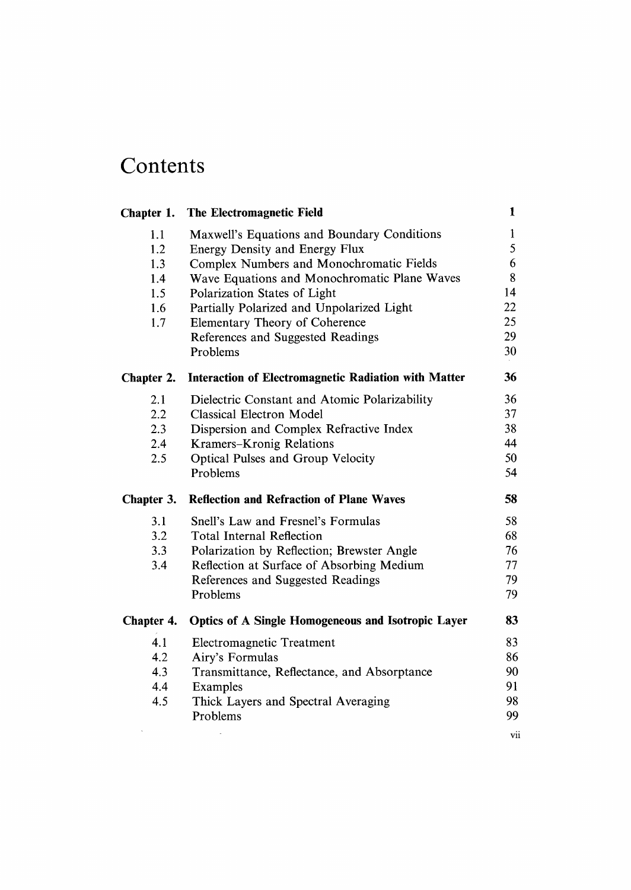## Contents

| Chapter 1. | The Electromagnetic Field                                   | $\mathbf{I}$ |
|------------|-------------------------------------------------------------|--------------|
| 1.1        | Maxwell's Equations and Boundary Conditions                 | 1            |
| 1.2        | <b>Energy Density and Energy Flux</b>                       | 5            |
| 1.3        | Complex Numbers and Monochromatic Fields                    | 6            |
| 1.4        | Wave Equations and Monochromatic Plane Waves                | 8            |
| 1.5        | Polarization States of Light                                | 14           |
| 1.6        | Partially Polarized and Unpolarized Light                   | 22           |
| 1.7        | Elementary Theory of Coherence                              | 25           |
|            | References and Suggested Readings                           | 29           |
|            | Problems                                                    | 30           |
| Chapter 2. | <b>Interaction of Electromagnetic Radiation with Matter</b> | 36           |
| 2.1        | Dielectric Constant and Atomic Polarizability               | 36           |
| 2.2        | <b>Classical Electron Model</b>                             | 37           |
| 2.3        | Dispersion and Complex Refractive Index                     | 38           |
| 2.4        | Kramers-Kronig Relations                                    | 44           |
| 2.5        | <b>Optical Pulses and Group Velocity</b>                    | 50           |
|            | Problems                                                    | 54           |
| Chapter 3. | <b>Reflection and Refraction of Plane Waves</b>             | 58           |
| 3.1        | Snell's Law and Fresnel's Formulas                          | 58           |
| 3.2        | <b>Total Internal Reflection</b>                            | 68           |
| 3.3        |                                                             |              |
|            | Polarization by Reflection; Brewster Angle                  | 76           |
| 3.4        | Reflection at Surface of Absorbing Medium                   | 77           |
|            | References and Suggested Readings                           | 79           |
|            | Problems                                                    | 79           |
| Chapter 4. | <b>Optics of A Single Homogeneous and Isotropic Layer</b>   | 83           |
| 4.1        |                                                             | 83           |
| 4.2        | Electromagnetic Treatment<br>Airy's Formulas                | 86           |
| 4.3        | Transmittance, Reflectance, and Absorptance                 | 90           |
| 4.4        | Examples                                                    | 91           |
| 4.5        | Thick Layers and Spectral Averaging                         | 98           |
|            | Problems                                                    | 99           |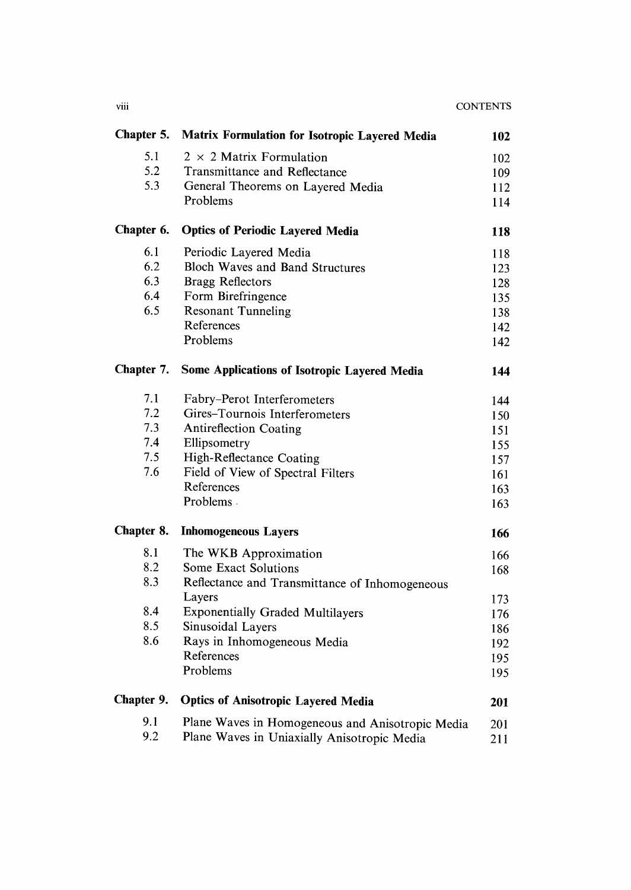| Chapter 5. | Matrix Formulation for Isotropic Layered Media      |            |
|------------|-----------------------------------------------------|------------|
| 5.1        | $2 \times 2$ Matrix Formulation                     | 102        |
| 5.2        | Transmittance and Reflectance                       | 109        |
| 5.3        | General Theorems on Layered Media                   | 112        |
|            | Problems                                            | 114        |
| Chapter 6. | <b>Optics of Periodic Layered Media</b>             | 118        |
| 6.1        | Periodic Layered Media                              | 118        |
| 6.2        | <b>Bloch Waves and Band Structures</b>              | 123        |
| 6.3        | <b>Bragg Reflectors</b>                             | 128        |
| 6.4        | Form Birefringence                                  | 135        |
| 6.5        | <b>Resonant Tunneling</b>                           | 138        |
|            | References                                          | 142        |
|            | Problems                                            | 142        |
| Chapter 7. | <b>Some Applications of Isotropic Layered Media</b> | 144        |
| 7.1        | Fabry-Perot Interferometers                         | 144        |
| 7.2        | Gires-Tournois Interferometers                      | 150        |
| 7.3        | <b>Antireflection Coating</b>                       | 151        |
| 7.4        | Ellipsometry                                        | 155        |
| 7.5        | High-Reflectance Coating                            | 157        |
| 7.6        | Field of View of Spectral Filters                   | 161        |
|            | References                                          | 163        |
|            | Problems.                                           | 163        |
| Chapter 8. | <b>Inhomogeneous Layers</b>                         | 166        |
| 8.1        | The WKB Approximation                               | 166        |
| 8.2        | Some Exact Solutions                                | 168        |
| 8.3        | Reflectance and Transmittance of Inhomogeneous      |            |
|            | Layers                                              | 173        |
| 8.4        | <b>Exponentially Graded Multilayers</b>             | 176        |
| 8.5        | Sinusoidal Layers                                   | 186        |
| 8.6        | Rays in Inhomogeneous Media                         | 192        |
|            | References                                          | 195        |
|            | Problems                                            | 195        |
| Chapter 9. | <b>Optics of Anisotropic Layered Media</b>          | <b>201</b> |
| 9.1        | Plane Waves in Homogeneous and Anisotropic Media    | 201        |
| 9.2        | Plane Waves in Uniaxially Anisotropic Media         | 211        |

viii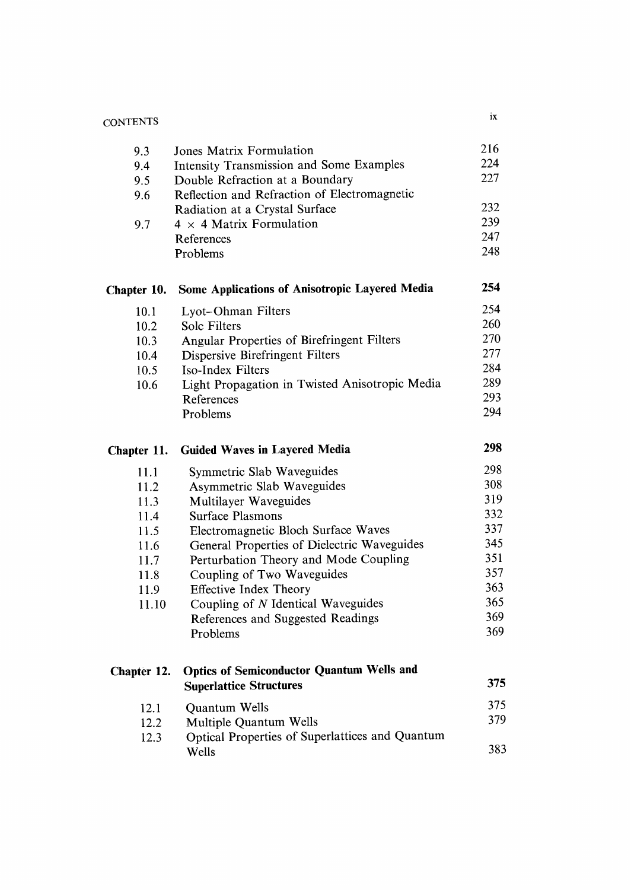| <b>CONTENTS</b> |                                                                           | ix  |
|-----------------|---------------------------------------------------------------------------|-----|
| 9.3             | Jones Matrix Formulation                                                  | 216 |
| 9.4             | <b>Intensity Transmission and Some Examples</b>                           | 224 |
| 9.5             | Double Refraction at a Boundary                                           | 227 |
| 9.6             | Reflection and Refraction of Electromagnetic                              |     |
|                 | Radiation at a Crystal Surface                                            | 232 |
| 9.7             | $4 \times 4$ Matrix Formulation                                           | 239 |
|                 | References                                                                | 247 |
|                 | Problems                                                                  | 248 |
| Chapter 10.     | Some Applications of Anisotropic Layered Media                            | 254 |
| 10.1            | Lyot-Ohman Filters                                                        | 254 |
| 10.2            | <b>Solc Filters</b>                                                       | 260 |
| 10.3            | Angular Properties of Birefringent Filters                                | 270 |
| 10.4            | Dispersive Birefringent Filters                                           | 277 |
| 10.5            | Iso-Index Filters                                                         | 284 |
| 10.6            | Light Propagation in Twisted Anisotropic Media                            | 289 |
|                 | References                                                                | 293 |
|                 | Problems                                                                  | 294 |
| Chapter 11.     | <b>Guided Waves in Layered Media</b>                                      | 298 |
|                 |                                                                           |     |
| 11.1            | Symmetric Slab Waveguides                                                 | 298 |
| 11.2            | Asymmetric Slab Waveguides                                                | 308 |
| 11.3            | Multilayer Waveguides                                                     | 319 |
| 11.4            | <b>Surface Plasmons</b>                                                   | 332 |
| 11.5            | Electromagnetic Bloch Surface Waves                                       | 337 |
| 11.6            | General Properties of Dielectric Waveguides                               | 345 |
| 11.7            | Perturbation Theory and Mode Coupling                                     | 351 |
| 11.8            | Coupling of Two Waveguides                                                | 357 |
| 11.9            | <b>Effective Index Theory</b>                                             | 363 |
| 11.10           | Coupling of N Identical Waveguides                                        | 365 |
|                 | References and Suggested Readings                                         | 369 |
|                 | Problems                                                                  | 369 |
| Chapter 12.     | <b>Optics of Semiconductor Quantum Wells and</b>                          |     |
|                 | <b>Superlattice Structures</b>                                            | 375 |
|                 |                                                                           | 375 |
| 12.1<br>12.2    | Quantum Wells                                                             | 379 |
| 12.3            | Multiple Quantum Wells<br>Optical Properties of Superlattices and Quantum |     |